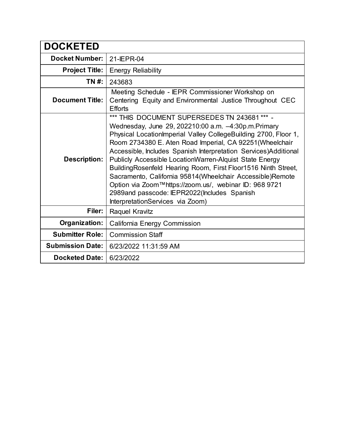| <b>DOCKETED</b>         |                                                                                                                                                                                                                                                                                                                                                                                                                                                                                                                                                                                                                                                |
|-------------------------|------------------------------------------------------------------------------------------------------------------------------------------------------------------------------------------------------------------------------------------------------------------------------------------------------------------------------------------------------------------------------------------------------------------------------------------------------------------------------------------------------------------------------------------------------------------------------------------------------------------------------------------------|
| <b>Docket Number:</b>   | 21-IEPR-04                                                                                                                                                                                                                                                                                                                                                                                                                                                                                                                                                                                                                                     |
| <b>Project Title:</b>   | <b>Energy Reliability</b>                                                                                                                                                                                                                                                                                                                                                                                                                                                                                                                                                                                                                      |
| TN #:                   | 243683                                                                                                                                                                                                                                                                                                                                                                                                                                                                                                                                                                                                                                         |
| <b>Document Title:</b>  | Meeting Schedule - IEPR Commissioner Workshop on<br>Centering Equity and Environmental Justice Throughout CEC<br><b>Efforts</b>                                                                                                                                                                                                                                                                                                                                                                                                                                                                                                                |
| <b>Description:</b>     | *** THIS DOCUMENT SUPERSEDES TN 243681 *** -<br>Wednesday, June 29, 202210:00 a.m. -4:30p.m. Primary<br>Physical Location Imperial Valley College Building 2700, Floor 1,<br>Room 2734380 E. Aten Road Imperial, CA 92251(Wheelchair<br>Accessible, Includes Spanish Interpretation Services)Additional<br>Publicly Accessible LocationWarren-Alquist State Energy<br>Building Rosenfeld Hearing Room, First Floor1516 Ninth Street,<br>Sacramento, California 95814(Wheelchair Accessible)Remote<br>Option via Zoom™https://zoom.us/, webinar ID: 968 9721<br>2989and passcode: IEPR2022(Includes Spanish<br>InterpretationServices via Zoom) |
| Filer:                  | Raquel Kravitz                                                                                                                                                                                                                                                                                                                                                                                                                                                                                                                                                                                                                                 |
| Organization:           | California Energy Commission                                                                                                                                                                                                                                                                                                                                                                                                                                                                                                                                                                                                                   |
| <b>Submitter Role:</b>  | <b>Commission Staff</b>                                                                                                                                                                                                                                                                                                                                                                                                                                                                                                                                                                                                                        |
| <b>Submission Date:</b> | 6/23/2022 11:31:59 AM                                                                                                                                                                                                                                                                                                                                                                                                                                                                                                                                                                                                                          |
| <b>Docketed Date:</b>   | 6/23/2022                                                                                                                                                                                                                                                                                                                                                                                                                                                                                                                                                                                                                                      |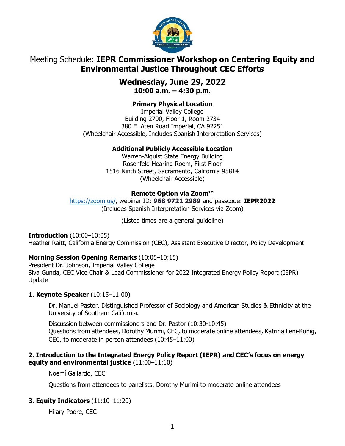

# Meeting Schedule: **IEPR Commissioner Workshop on Centering Equity and Environmental Justice Throughout CEC Efforts**

### **Wednesday, June 29, 2022 10:00 a.m. – 4:30 p.m.**

### **Primary Physical Location**

Imperial Valley College Building 2700, Floor 1, Room 2734 380 E. Aten Road Imperial, CA 92251 (Wheelchair Accessible, Includes Spanish Interpretation Services)

### **Additional Publicly Accessible Location**

Warren-Alquist State Energy Building Rosenfeld Hearing Room, First Floor 1516 Ninth Street, Sacramento, California 95814 (Wheelchair Accessible)

### **Remote Option via Zoom™**

[https://zoom.us/,](https://zoom.us/) webinar ID: **968 9721 2989** and passcode: **IEPR2022** (Includes Spanish Interpretation Services via Zoom)

(Listed times are a general guideline)

**Introduction** (10:00–10:05)

Heather Raitt, California Energy Commission (CEC), Assistant Executive Director, Policy Development

### **Morning Session Opening Remarks** (10:05–10:15)

President Dr. Johnson, Imperial Valley College Siva Gunda, CEC Vice Chair & Lead Commissioner for 2022 Integrated Energy Policy Report (IEPR) Update

#### **1. Keynote Speaker** (10:15–11:00)

Dr. Manuel Pastor, Distinguished Professor of Sociology and American Studies & Ethnicity at the University of Southern California.

Discussion between commissioners and Dr. Pastor (10:30-10:45) Questions from attendees, Dorothy Murimi, CEC, to moderate online attendees, Katrina Leni-Konig, CEC, to moderate in person attendees (10:45–11:00)

#### **2. Introduction to the Integrated Energy Policy Report (IEPR) and CEC's focus on energy equity and environmental justice** (11:00–11:10)

Noemí Gallardo, CEC

Questions from attendees to panelists, Dorothy Murimi to moderate online attendees

### **3. Equity Indicators** (11:10–11:20)

Hilary Poore, CEC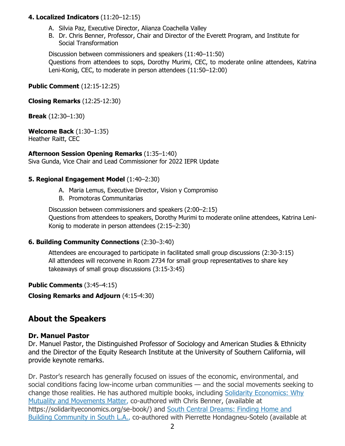#### **4. Localized Indicators** (11:20–12:15)

- A. Silvia Paz, Executive Director, Alianza Coachella Valley
- B. Dr. Chris Benner, Professor, Chair and Director of the Everett Program, and Institute for Social Transformation

Discussion between commissioners and speakers (11:40–11:50) Questions from attendees to sops, Dorothy Murimi, CEC, to moderate online attendees, Katrina Leni-Konig, CEC, to moderate in person attendees (11:50–12:00)

**Public Comment** (12:15-12:25)

**Closing Remarks** (12:25-12:30)

**Break** (12:30–1:30)

**Welcome Back** (1:30–1:35) Heather Raitt, CEC

**Afternoon Session Opening Remarks** (1:35–1:40) Siva Gunda, Vice Chair and Lead Commissioner for 2022 IEPR Update

#### **5. Regional Engagement Model** (1:40–2:30)

- A. Maria Lemus, Executive Director, Vision y Compromiso
- B. Promotoras Communitarias

Discussion between commissioners and speakers (2:00–2:15) Questions from attendees to speakers, Dorothy Murimi to moderate online attendees, Katrina Leni-Konig to moderate in person attendees (2:15–2:30)

#### **6. Building Community Connections** (2:30–3:40)

Attendees are encouraged to participate in facilitated small group discussions (2:30-3:15) All attendees will reconvene in Room 2734 for small group representatives to share key takeaways of small group discussions (3:15-3:45)

**Public Comments** (3:45–4:15)

**Closing Remarks and Adjourn** (4:15-4:30)

# **About the Speakers**

#### **Dr. Manuel Pastor**

Dr. Manuel Pastor, the Distinguished Professor of Sociology and American Studies & Ethnicity and the Director of the Equity Research Institute at the University of Southern California, will provide keynote remarks.

Dr. Pastor's research has generally focused on issues of the economic, environmental, and social conditions facing low-income urban communities — and the social movements seeking to change those realities. He has authored multiple books, including Solidarity [Economics:](https://solidarityeconomics.org/se-book/) Why Mutuality and [Movements](https://solidarityeconomics.org/se-book/) Matter, co-authored with Chris Benner, (available at https://solidarityeconomics.org/se-book/) and South Central [Dreams:](https://www.southcentraldreams.com/) Finding Home and Building [Community](https://www.southcentraldreams.com/) in South L.A., co-authored with Pierrette Hondagneu-Sotelo (available at